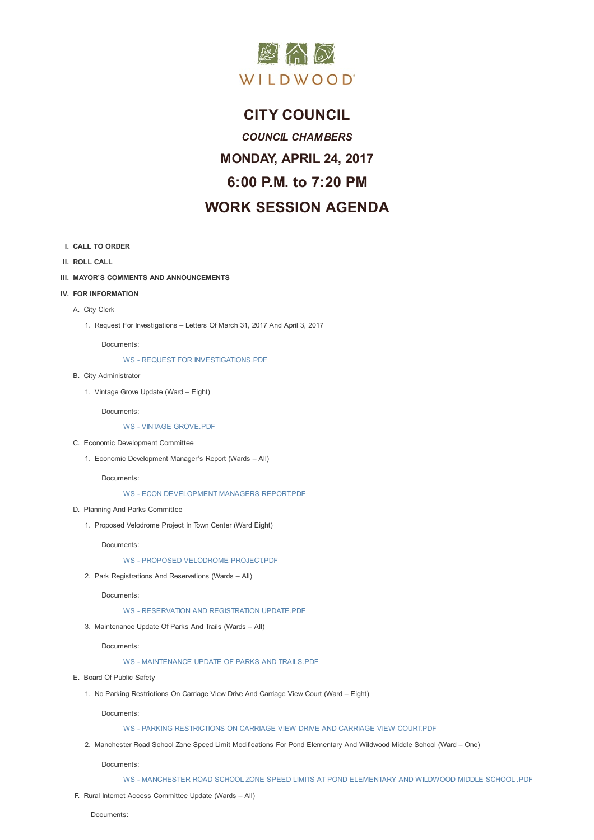

# **CITY COUNCIL**

*COUNCIL CHAMBERS* **MONDAY, APRIL 24, 2017 6:00 P.M. to 7:20 PM WORK SESSION AGENDA**

- **I. CALL TO ORDER**
- **II. ROLL CALL**
- **III. MAYOR'S COMMENTS AND ANNOUNCEMENTS**
- **IV. FOR INFORMATION**
	- A. City Clerk
		- 1. Request For Investigations Letters Of March 31, 2017 And April 3, 2017

Documents:

WS - REQUEST FOR INVESTIGATIONS.PDF

- B. City Administrator
	- 1. Vintage Grove Update (Ward Eight)

Docum[ents:](D:/AgendaCenter/ViewFile/Item/10571?fileID=14972)

WS - VINTAGE GROVE.PDF

- C. Economic Development Committee
	- 1. Economic Development Manager's Report (Wards All)

Docum[ents:](D:/AgendaCenter/ViewFile/Item/10573?fileID=14973)

- WS ECON DEVELOPMENT MANAGERS REPORT.PDF
- D. Planning And Parks Committee
	- 1. Proposed Velodrome Project In Town Center (Ward Eight)

Docum[ents:](D:/AgendaCenter/ViewFile/Item/10575?fileID=14974)

WS - PROPOSED VELODROME PROJECT.PDF

2. Park Registrations And Reservations (Wards – All)

Documents:

- WS RESERVATION AND [REGISTRATION](D:/AgendaCenter/ViewFile/Item/10577?fileID=14975) UPDATE.PDF
- 3. Maintenance Update Of Parks And Trails (Wards All)

Documents:

WS - [MAINTENANCE](D:/AgendaCenter/ViewFile/Item/10578?fileID=14976) UPDATE OF PARKS AND TRAILS.PDF

- E. Board Of Public Safety
	- 1. No Parking Restrictions On Carriage View Drive And Carriage View Court (Ward Eight)

Docum[ents:](D:/AgendaCenter/ViewFile/Item/10579?fileID=14986)

## WS - PARKING RESTRICTIONS ON CARRIAGE VIEW DRIVE AND CARRIAGE VIEW COURT.PDF

2. Manchester Road School Zone Speed Limit Modifications For Pond Elementary And Wildwood Middle School (Ward – One)

Documents:

- WS [MANCHESTER](D:/AgendaCenter/ViewFile/Item/10581?fileID=14978) ROAD SCHOOL ZONE SPEED LIMITS AT POND ELEMENTARY AND WILDWOOD MIDDLE SCHOOL .PDF
- F. Rural Internet Access Committee Update (Wards All)

Documents: